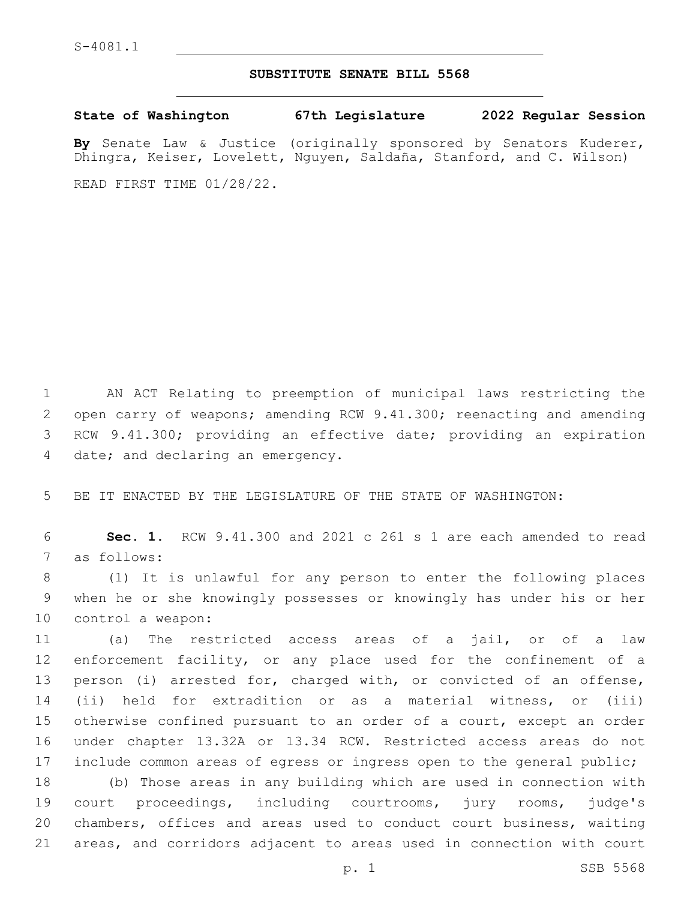## **SUBSTITUTE SENATE BILL 5568**

**State of Washington 67th Legislature 2022 Regular Session**

**By** Senate Law & Justice (originally sponsored by Senators Kuderer, Dhingra, Keiser, Lovelett, Nguyen, Saldaña, Stanford, and C. Wilson)

READ FIRST TIME 01/28/22.

 AN ACT Relating to preemption of municipal laws restricting the open carry of weapons; amending RCW 9.41.300; reenacting and amending RCW 9.41.300; providing an effective date; providing an expiration 4 date; and declaring an emergency.

BE IT ENACTED BY THE LEGISLATURE OF THE STATE OF WASHINGTON:

 **Sec. 1.** RCW 9.41.300 and 2021 c 261 s 1 are each amended to read 7 as follows:

 (1) It is unlawful for any person to enter the following places when he or she knowingly possesses or knowingly has under his or her 10 control a weapon:

 (a) The restricted access areas of a jail, or of a law enforcement facility, or any place used for the confinement of a person (i) arrested for, charged with, or convicted of an offense, (ii) held for extradition or as a material witness, or (iii) otherwise confined pursuant to an order of a court, except an order under chapter 13.32A or 13.34 RCW. Restricted access areas do not include common areas of egress or ingress open to the general public;

 (b) Those areas in any building which are used in connection with court proceedings, including courtrooms, jury rooms, judge's chambers, offices and areas used to conduct court business, waiting areas, and corridors adjacent to areas used in connection with court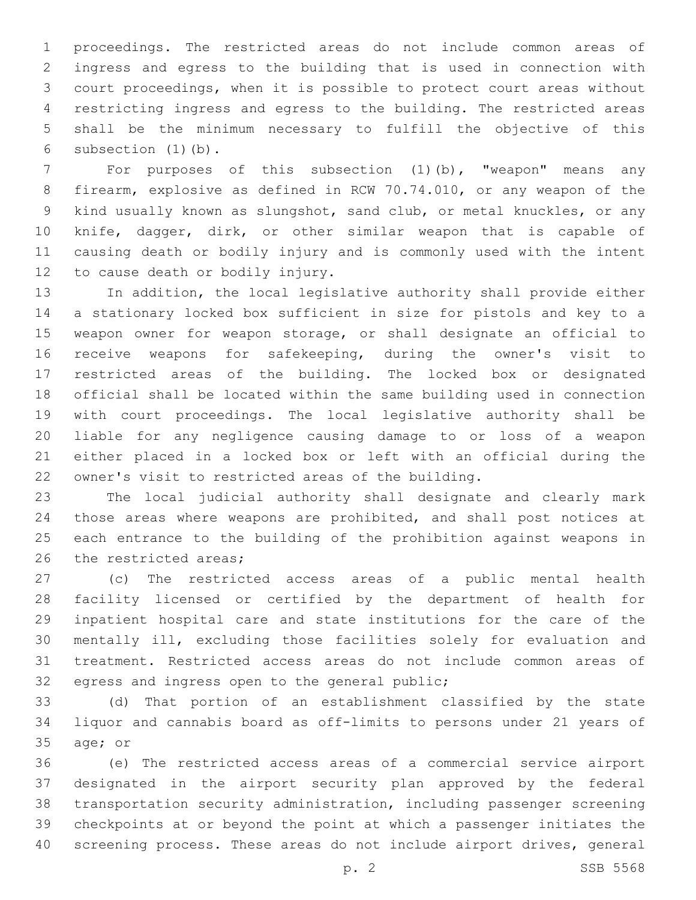proceedings. The restricted areas do not include common areas of ingress and egress to the building that is used in connection with court proceedings, when it is possible to protect court areas without restricting ingress and egress to the building. The restricted areas shall be the minimum necessary to fulfill the objective of this 6 subsection  $(1)$   $(b)$ .

 For purposes of this subsection (1)(b), "weapon" means any firearm, explosive as defined in RCW 70.74.010, or any weapon of the kind usually known as slungshot, sand club, or metal knuckles, or any knife, dagger, dirk, or other similar weapon that is capable of causing death or bodily injury and is commonly used with the intent 12 to cause death or bodily injury.

 In addition, the local legislative authority shall provide either a stationary locked box sufficient in size for pistols and key to a weapon owner for weapon storage, or shall designate an official to receive weapons for safekeeping, during the owner's visit to restricted areas of the building. The locked box or designated official shall be located within the same building used in connection with court proceedings. The local legislative authority shall be liable for any negligence causing damage to or loss of a weapon either placed in a locked box or left with an official during the owner's visit to restricted areas of the building.

 The local judicial authority shall designate and clearly mark those areas where weapons are prohibited, and shall post notices at each entrance to the building of the prohibition against weapons in 26 the restricted areas:

 (c) The restricted access areas of a public mental health facility licensed or certified by the department of health for inpatient hospital care and state institutions for the care of the mentally ill, excluding those facilities solely for evaluation and treatment. Restricted access areas do not include common areas of 32 egress and ingress open to the general public;

 (d) That portion of an establishment classified by the state liquor and cannabis board as off-limits to persons under 21 years of 35 age; or

 (e) The restricted access areas of a commercial service airport designated in the airport security plan approved by the federal transportation security administration, including passenger screening checkpoints at or beyond the point at which a passenger initiates the screening process. These areas do not include airport drives, general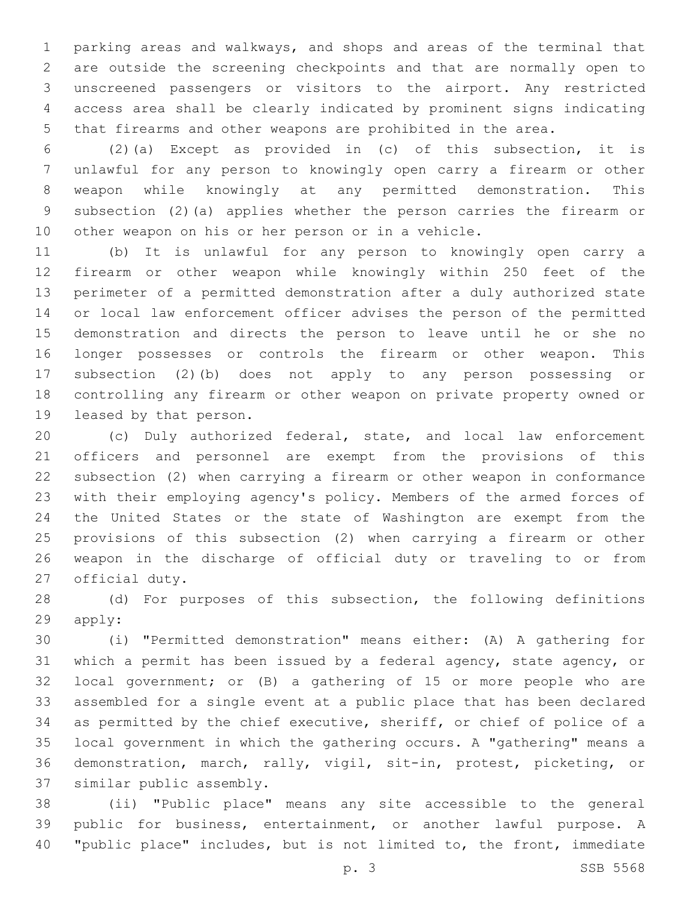parking areas and walkways, and shops and areas of the terminal that are outside the screening checkpoints and that are normally open to unscreened passengers or visitors to the airport. Any restricted access area shall be clearly indicated by prominent signs indicating that firearms and other weapons are prohibited in the area.

 (2)(a) Except as provided in (c) of this subsection, it is unlawful for any person to knowingly open carry a firearm or other weapon while knowingly at any permitted demonstration. This subsection (2)(a) applies whether the person carries the firearm or other weapon on his or her person or in a vehicle.

 (b) It is unlawful for any person to knowingly open carry a firearm or other weapon while knowingly within 250 feet of the perimeter of a permitted demonstration after a duly authorized state or local law enforcement officer advises the person of the permitted demonstration and directs the person to leave until he or she no longer possesses or controls the firearm or other weapon. This subsection (2)(b) does not apply to any person possessing or controlling any firearm or other weapon on private property owned or 19 leased by that person.

 (c) Duly authorized federal, state, and local law enforcement officers and personnel are exempt from the provisions of this subsection (2) when carrying a firearm or other weapon in conformance with their employing agency's policy. Members of the armed forces of the United States or the state of Washington are exempt from the provisions of this subsection (2) when carrying a firearm or other weapon in the discharge of official duty or traveling to or from 27 official duty.

 (d) For purposes of this subsection, the following definitions apply:

 (i) "Permitted demonstration" means either: (A) A gathering for which a permit has been issued by a federal agency, state agency, or local government; or (B) a gathering of 15 or more people who are assembled for a single event at a public place that has been declared as permitted by the chief executive, sheriff, or chief of police of a local government in which the gathering occurs. A "gathering" means a demonstration, march, rally, vigil, sit-in, protest, picketing, or 37 similar public assembly.

 (ii) "Public place" means any site accessible to the general public for business, entertainment, or another lawful purpose. A "public place" includes, but is not limited to, the front, immediate

p. 3 SSB 5568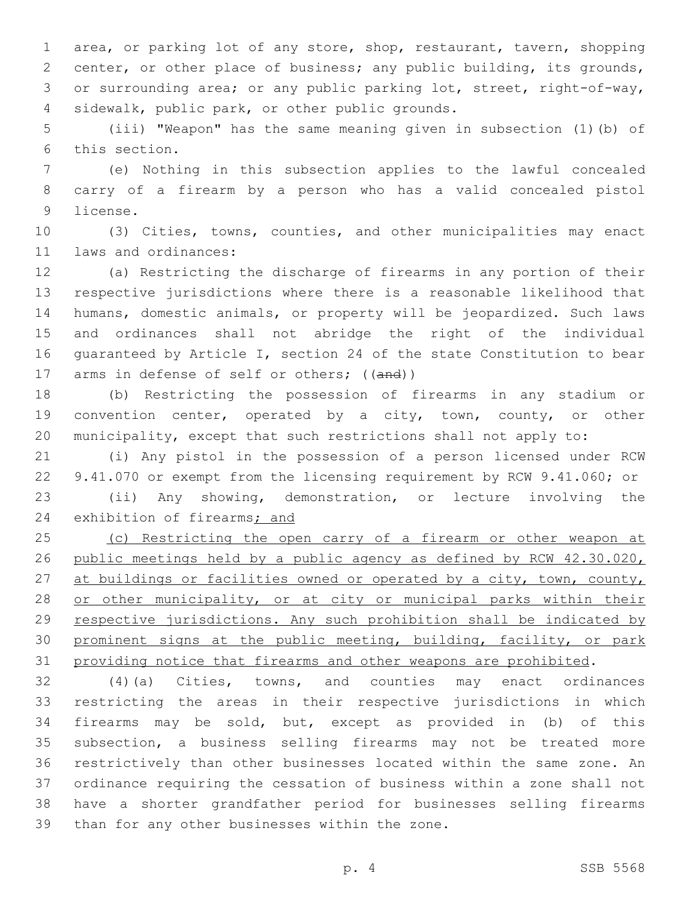area, or parking lot of any store, shop, restaurant, tavern, shopping center, or other place of business; any public building, its grounds, or surrounding area; or any public parking lot, street, right-of-way, 4 sidewalk, public park, or other public grounds.

 (iii) "Weapon" has the same meaning given in subsection (1)(b) of 6 this section.

 (e) Nothing in this subsection applies to the lawful concealed carry of a firearm by a person who has a valid concealed pistol 9 license.

 (3) Cities, towns, counties, and other municipalities may enact 11 laws and ordinances:

 (a) Restricting the discharge of firearms in any portion of their respective jurisdictions where there is a reasonable likelihood that humans, domestic animals, or property will be jeopardized. Such laws and ordinances shall not abridge the right of the individual guaranteed by Article I, section 24 of the state Constitution to bear 17 arms in defense of self or others; ((and))

 (b) Restricting the possession of firearms in any stadium or convention center, operated by a city, town, county, or other municipality, except that such restrictions shall not apply to:

 (i) Any pistol in the possession of a person licensed under RCW 22 9.41.070 or exempt from the licensing requirement by RCW 9.41.060; or

 (ii) Any showing, demonstration, or lecture involving the 24 exhibition of firearms; and

 (c) Restricting the open carry of a firearm or other weapon at public meetings held by a public agency as defined by RCW 42.30.020, 27 at buildings or facilities owned or operated by a city, town, county, 28 or other municipality, or at city or municipal parks within their 29 respective jurisdictions. Any such prohibition shall be indicated by 30 prominent signs at the public meeting, building, facility, or park 31 providing notice that firearms and other weapons are prohibited.

 (4)(a) Cities, towns, and counties may enact ordinances restricting the areas in their respective jurisdictions in which firearms may be sold, but, except as provided in (b) of this subsection, a business selling firearms may not be treated more restrictively than other businesses located within the same zone. An ordinance requiring the cessation of business within a zone shall not have a shorter grandfather period for businesses selling firearms 39 than for any other businesses within the zone.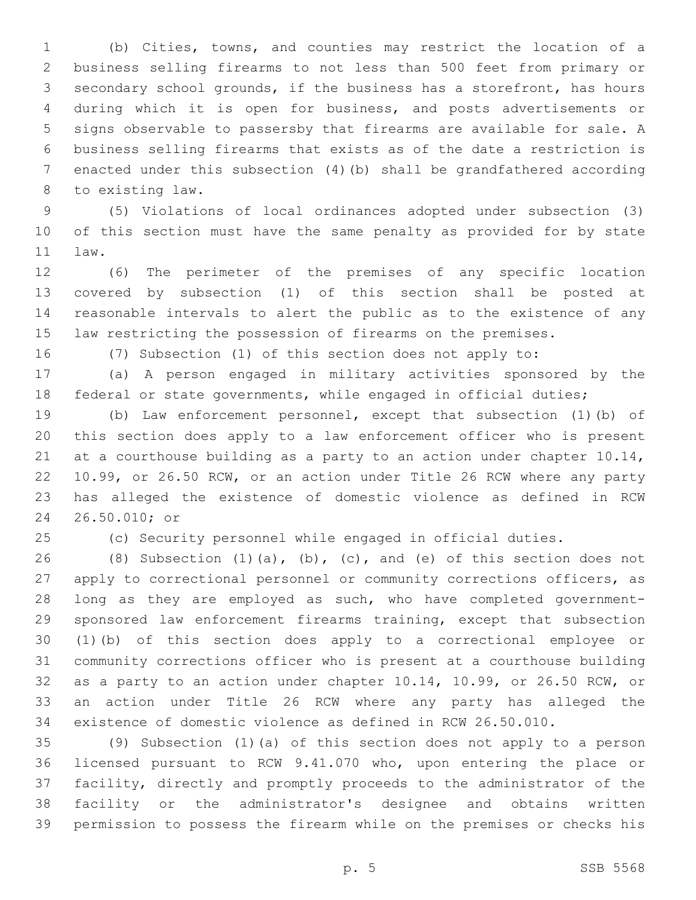(b) Cities, towns, and counties may restrict the location of a business selling firearms to not less than 500 feet from primary or secondary school grounds, if the business has a storefront, has hours during which it is open for business, and posts advertisements or signs observable to passersby that firearms are available for sale. A business selling firearms that exists as of the date a restriction is enacted under this subsection (4)(b) shall be grandfathered according 8 to existing law.

 (5) Violations of local ordinances adopted under subsection (3) of this section must have the same penalty as provided for by state 11 law.

 (6) The perimeter of the premises of any specific location covered by subsection (1) of this section shall be posted at reasonable intervals to alert the public as to the existence of any law restricting the possession of firearms on the premises.

(7) Subsection (1) of this section does not apply to:

 (a) A person engaged in military activities sponsored by the federal or state governments, while engaged in official duties;

 (b) Law enforcement personnel, except that subsection (1)(b) of this section does apply to a law enforcement officer who is present 21 at a courthouse building as a party to an action under chapter 10.14, 10.99, or 26.50 RCW, or an action under Title 26 RCW where any party has alleged the existence of domestic violence as defined in RCW 24 26.50.010; or

(c) Security personnel while engaged in official duties.

 (8) Subsection (1)(a), (b), (c), and (e) of this section does not apply to correctional personnel or community corrections officers, as long as they are employed as such, who have completed government- sponsored law enforcement firearms training, except that subsection (1)(b) of this section does apply to a correctional employee or community corrections officer who is present at a courthouse building as a party to an action under chapter 10.14, 10.99, or 26.50 RCW, or an action under Title 26 RCW where any party has alleged the existence of domestic violence as defined in RCW 26.50.010.

 (9) Subsection (1)(a) of this section does not apply to a person licensed pursuant to RCW 9.41.070 who, upon entering the place or facility, directly and promptly proceeds to the administrator of the facility or the administrator's designee and obtains written permission to possess the firearm while on the premises or checks his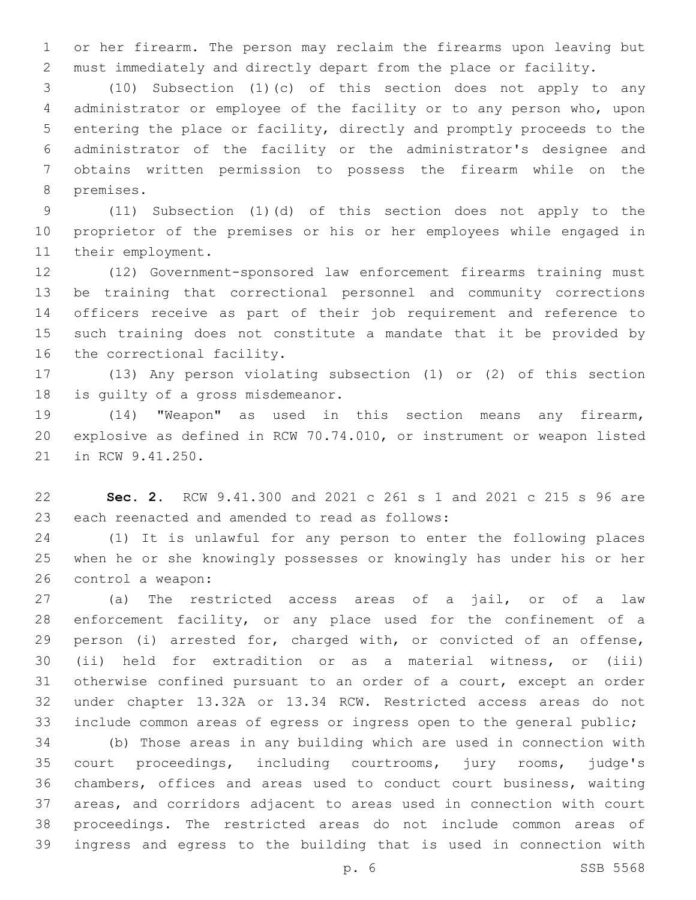or her firearm. The person may reclaim the firearms upon leaving but must immediately and directly depart from the place or facility.

 (10) Subsection (1)(c) of this section does not apply to any administrator or employee of the facility or to any person who, upon entering the place or facility, directly and promptly proceeds to the administrator of the facility or the administrator's designee and obtains written permission to possess the firearm while on the 8 premises.

 (11) Subsection (1)(d) of this section does not apply to the proprietor of the premises or his or her employees while engaged in 11 their employment.

 (12) Government-sponsored law enforcement firearms training must be training that correctional personnel and community corrections officers receive as part of their job requirement and reference to such training does not constitute a mandate that it be provided by 16 the correctional facility.

 (13) Any person violating subsection (1) or (2) of this section 18 is quilty of a gross misdemeanor.

 (14) "Weapon" as used in this section means any firearm, explosive as defined in RCW 70.74.010, or instrument or weapon listed 21 in RCW 9.41.250.

 **Sec. 2.** RCW 9.41.300 and 2021 c 261 s 1 and 2021 c 215 s 96 are 23 each reenacted and amended to read as follows:

 (1) It is unlawful for any person to enter the following places when he or she knowingly possesses or knowingly has under his or her 26 control a weapon:

 (a) The restricted access areas of a jail, or of a law enforcement facility, or any place used for the confinement of a person (i) arrested for, charged with, or convicted of an offense, (ii) held for extradition or as a material witness, or (iii) otherwise confined pursuant to an order of a court, except an order under chapter 13.32A or 13.34 RCW. Restricted access areas do not include common areas of egress or ingress open to the general public;

 (b) Those areas in any building which are used in connection with court proceedings, including courtrooms, jury rooms, judge's chambers, offices and areas used to conduct court business, waiting areas, and corridors adjacent to areas used in connection with court proceedings. The restricted areas do not include common areas of ingress and egress to the building that is used in connection with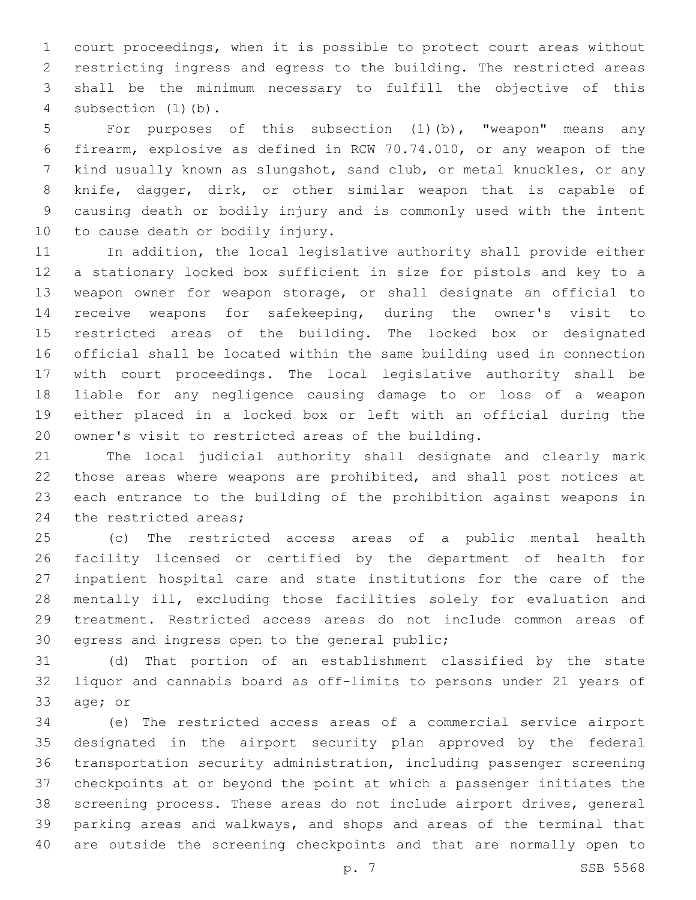court proceedings, when it is possible to protect court areas without restricting ingress and egress to the building. The restricted areas shall be the minimum necessary to fulfill the objective of this 4 subsection (1)(b).

 For purposes of this subsection (1)(b), "weapon" means any firearm, explosive as defined in RCW 70.74.010, or any weapon of the kind usually known as slungshot, sand club, or metal knuckles, or any knife, dagger, dirk, or other similar weapon that is capable of causing death or bodily injury and is commonly used with the intent 10 to cause death or bodily injury.

 In addition, the local legislative authority shall provide either a stationary locked box sufficient in size for pistols and key to a weapon owner for weapon storage, or shall designate an official to receive weapons for safekeeping, during the owner's visit to restricted areas of the building. The locked box or designated official shall be located within the same building used in connection with court proceedings. The local legislative authority shall be liable for any negligence causing damage to or loss of a weapon either placed in a locked box or left with an official during the owner's visit to restricted areas of the building.

 The local judicial authority shall designate and clearly mark those areas where weapons are prohibited, and shall post notices at each entrance to the building of the prohibition against weapons in 24 the restricted areas;

 (c) The restricted access areas of a public mental health facility licensed or certified by the department of health for inpatient hospital care and state institutions for the care of the mentally ill, excluding those facilities solely for evaluation and treatment. Restricted access areas do not include common areas of 30 egress and ingress open to the general public;

 (d) That portion of an establishment classified by the state liquor and cannabis board as off-limits to persons under 21 years of 33 age; or

 (e) The restricted access areas of a commercial service airport designated in the airport security plan approved by the federal transportation security administration, including passenger screening checkpoints at or beyond the point at which a passenger initiates the screening process. These areas do not include airport drives, general parking areas and walkways, and shops and areas of the terminal that are outside the screening checkpoints and that are normally open to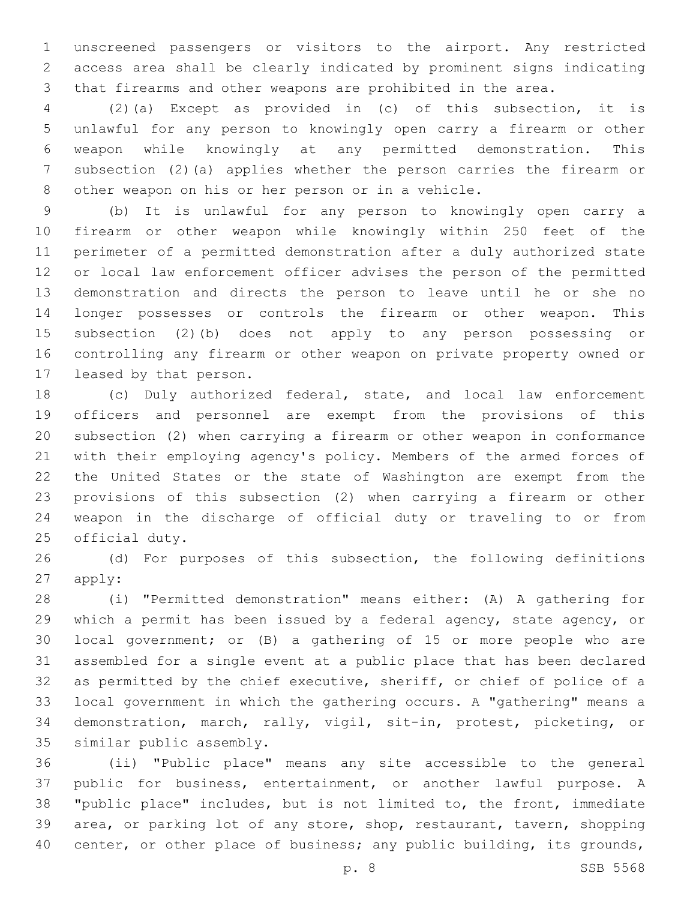unscreened passengers or visitors to the airport. Any restricted access area shall be clearly indicated by prominent signs indicating that firearms and other weapons are prohibited in the area.

 (2)(a) Except as provided in (c) of this subsection, it is unlawful for any person to knowingly open carry a firearm or other weapon while knowingly at any permitted demonstration. This subsection (2)(a) applies whether the person carries the firearm or 8 other weapon on his or her person or in a vehicle.

 (b) It is unlawful for any person to knowingly open carry a firearm or other weapon while knowingly within 250 feet of the perimeter of a permitted demonstration after a duly authorized state or local law enforcement officer advises the person of the permitted demonstration and directs the person to leave until he or she no longer possesses or controls the firearm or other weapon. This subsection (2)(b) does not apply to any person possessing or controlling any firearm or other weapon on private property owned or 17 leased by that person.

 (c) Duly authorized federal, state, and local law enforcement officers and personnel are exempt from the provisions of this subsection (2) when carrying a firearm or other weapon in conformance with their employing agency's policy. Members of the armed forces of the United States or the state of Washington are exempt from the provisions of this subsection (2) when carrying a firearm or other weapon in the discharge of official duty or traveling to or from 25 official duty.

 (d) For purposes of this subsection, the following definitions apply:

 (i) "Permitted demonstration" means either: (A) A gathering for which a permit has been issued by a federal agency, state agency, or local government; or (B) a gathering of 15 or more people who are assembled for a single event at a public place that has been declared as permitted by the chief executive, sheriff, or chief of police of a local government in which the gathering occurs. A "gathering" means a demonstration, march, rally, vigil, sit-in, protest, picketing, or 35 similar public assembly.

 (ii) "Public place" means any site accessible to the general public for business, entertainment, or another lawful purpose. A "public place" includes, but is not limited to, the front, immediate area, or parking lot of any store, shop, restaurant, tavern, shopping center, or other place of business; any public building, its grounds,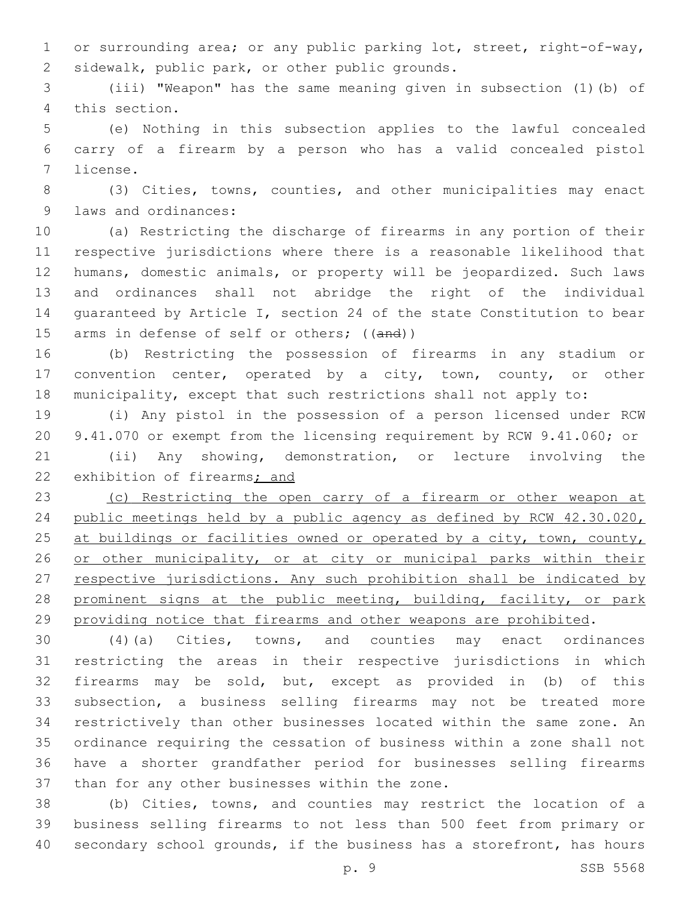or surrounding area; or any public parking lot, street, right-of-way, 2 sidewalk, public park, or other public grounds.

 (iii) "Weapon" has the same meaning given in subsection (1)(b) of 4 this section.

 (e) Nothing in this subsection applies to the lawful concealed carry of a firearm by a person who has a valid concealed pistol 7 license.

 (3) Cities, towns, counties, and other municipalities may enact 9 laws and ordinances:

 (a) Restricting the discharge of firearms in any portion of their respective jurisdictions where there is a reasonable likelihood that humans, domestic animals, or property will be jeopardized. Such laws and ordinances shall not abridge the right of the individual guaranteed by Article I, section 24 of the state Constitution to bear 15 arms in defense of self or others; ((and))

 (b) Restricting the possession of firearms in any stadium or convention center, operated by a city, town, county, or other municipality, except that such restrictions shall not apply to:

 (i) Any pistol in the possession of a person licensed under RCW 9.41.070 or exempt from the licensing requirement by RCW 9.41.060; or

 (ii) Any showing, demonstration, or lecture involving the 22 exhibition of firearms; and

 (c) Restricting the open carry of a firearm or other weapon at public meetings held by a public agency as defined by RCW 42.30.020, 25 at buildings or facilities owned or operated by a city, town, county, 26 or other municipality, or at city or municipal parks within their 27 respective jurisdictions. Any such prohibition shall be indicated by 28 prominent signs at the public meeting, building, facility, or park providing notice that firearms and other weapons are prohibited.

 (4)(a) Cities, towns, and counties may enact ordinances restricting the areas in their respective jurisdictions in which firearms may be sold, but, except as provided in (b) of this subsection, a business selling firearms may not be treated more restrictively than other businesses located within the same zone. An ordinance requiring the cessation of business within a zone shall not have a shorter grandfather period for businesses selling firearms 37 than for any other businesses within the zone.

 (b) Cities, towns, and counties may restrict the location of a business selling firearms to not less than 500 feet from primary or secondary school grounds, if the business has a storefront, has hours

p. 9 SSB 5568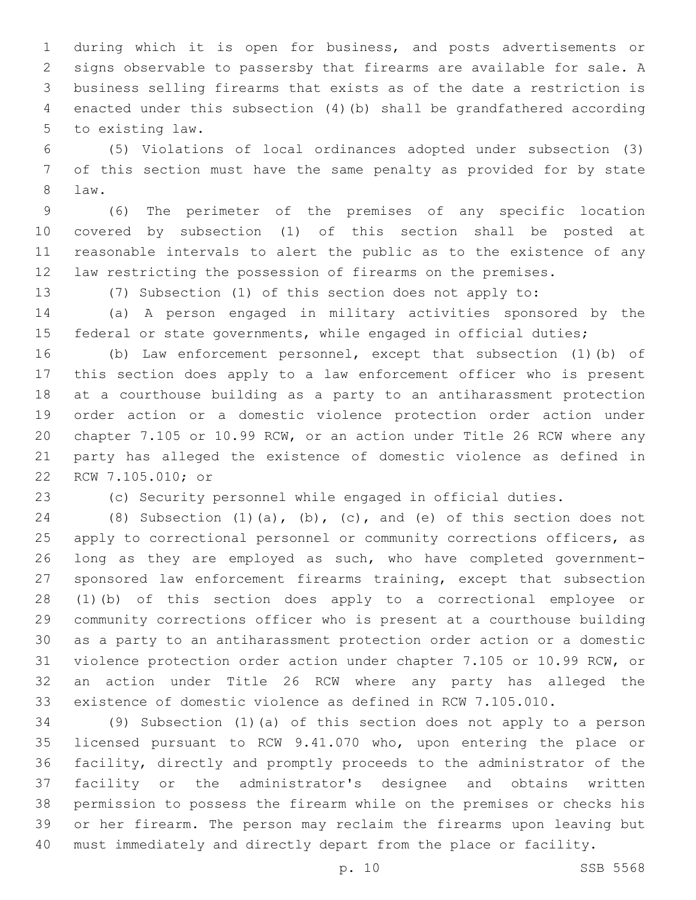during which it is open for business, and posts advertisements or signs observable to passersby that firearms are available for sale. A business selling firearms that exists as of the date a restriction is enacted under this subsection (4)(b) shall be grandfathered according 5 to existing law.

 (5) Violations of local ordinances adopted under subsection (3) of this section must have the same penalty as provided for by state 8 law.

 (6) The perimeter of the premises of any specific location covered by subsection (1) of this section shall be posted at reasonable intervals to alert the public as to the existence of any law restricting the possession of firearms on the premises.

(7) Subsection (1) of this section does not apply to:

 (a) A person engaged in military activities sponsored by the 15 federal or state governments, while engaged in official duties;

 (b) Law enforcement personnel, except that subsection (1)(b) of this section does apply to a law enforcement officer who is present at a courthouse building as a party to an antiharassment protection order action or a domestic violence protection order action under chapter 7.105 or 10.99 RCW, or an action under Title 26 RCW where any party has alleged the existence of domestic violence as defined in 22 RCW 7.105.010; or

(c) Security personnel while engaged in official duties.

 (8) Subsection (1)(a), (b), (c), and (e) of this section does not apply to correctional personnel or community corrections officers, as long as they are employed as such, who have completed government- sponsored law enforcement firearms training, except that subsection (1)(b) of this section does apply to a correctional employee or community corrections officer who is present at a courthouse building as a party to an antiharassment protection order action or a domestic violence protection order action under chapter 7.105 or 10.99 RCW, or an action under Title 26 RCW where any party has alleged the existence of domestic violence as defined in RCW 7.105.010.

 (9) Subsection (1)(a) of this section does not apply to a person licensed pursuant to RCW 9.41.070 who, upon entering the place or facility, directly and promptly proceeds to the administrator of the facility or the administrator's designee and obtains written permission to possess the firearm while on the premises or checks his or her firearm. The person may reclaim the firearms upon leaving but must immediately and directly depart from the place or facility.